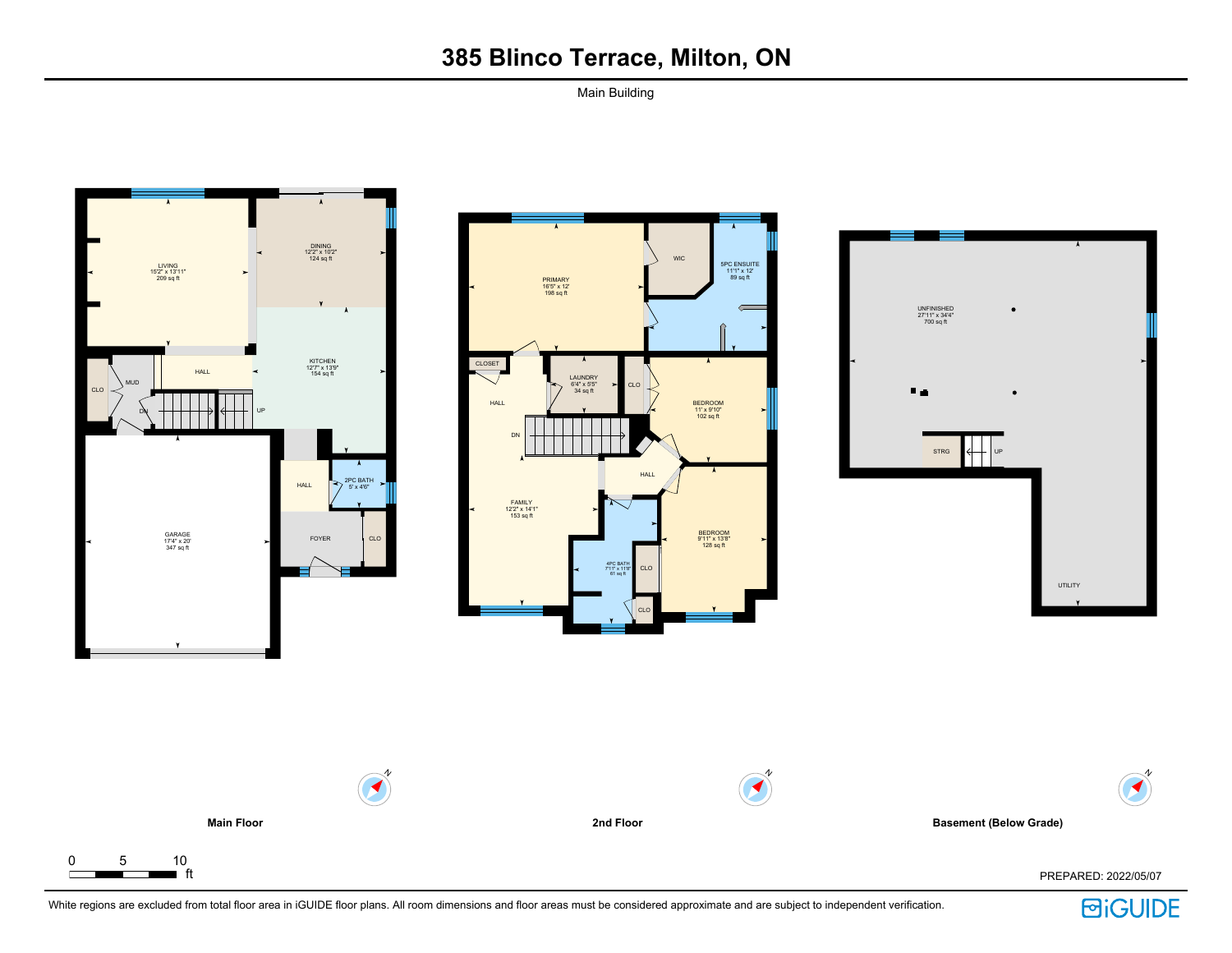Main Building









N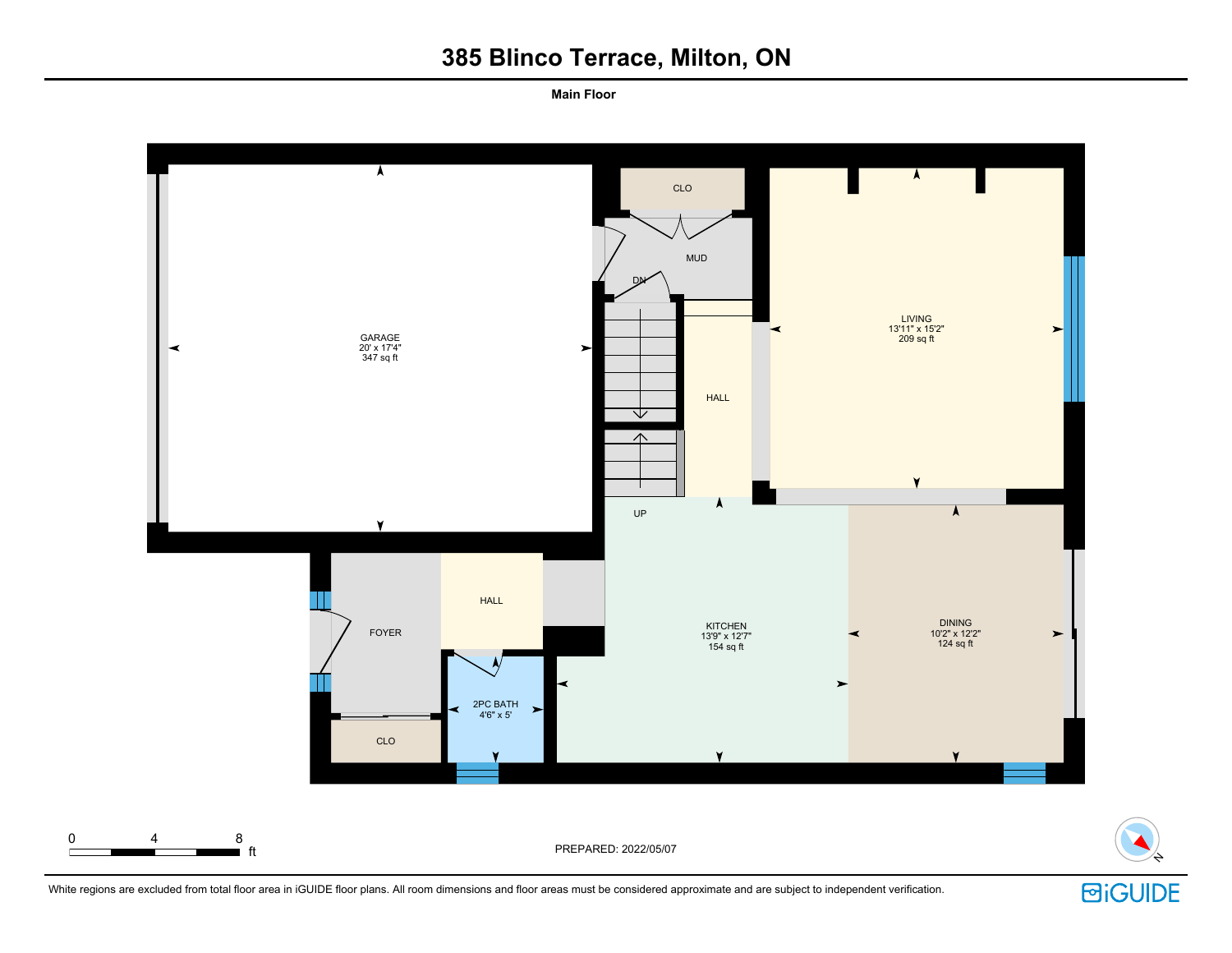**Main Floor**



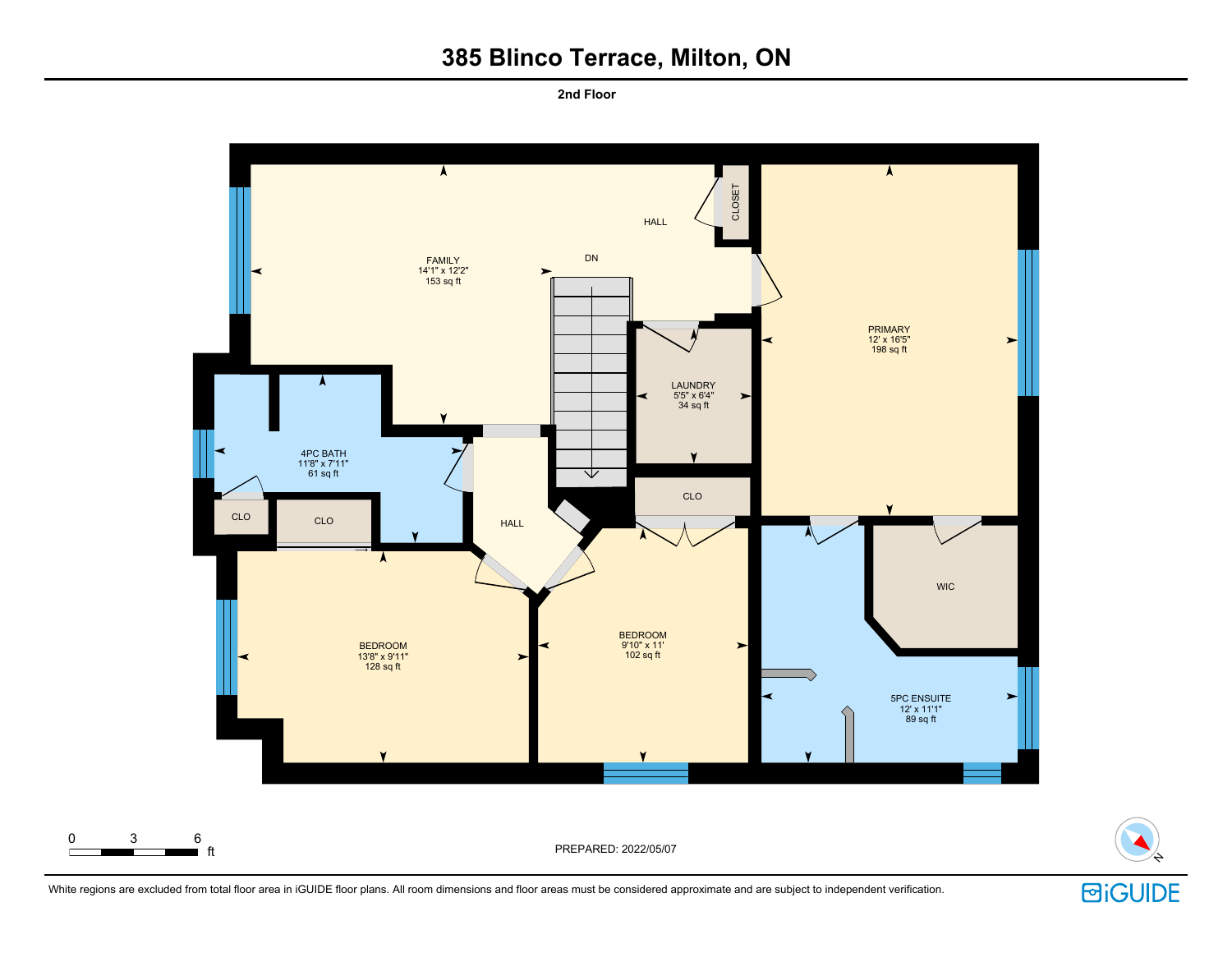**2nd Floor**



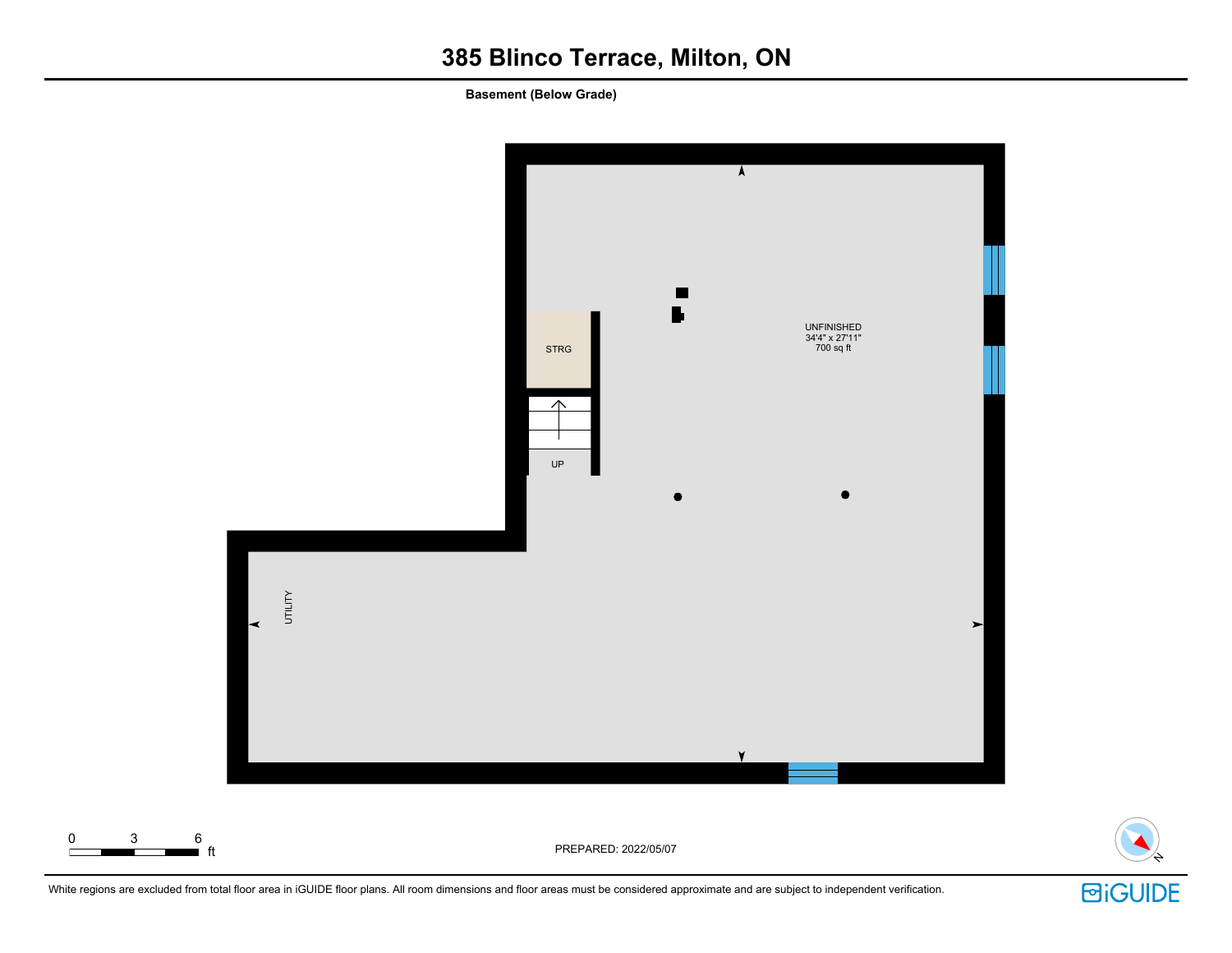**Basement (Below Grade)**





White regions are excluded from total floor area in iGUIDE floor plans. All room dimensions and floor areas must be considered approximate and are subject to independent verification.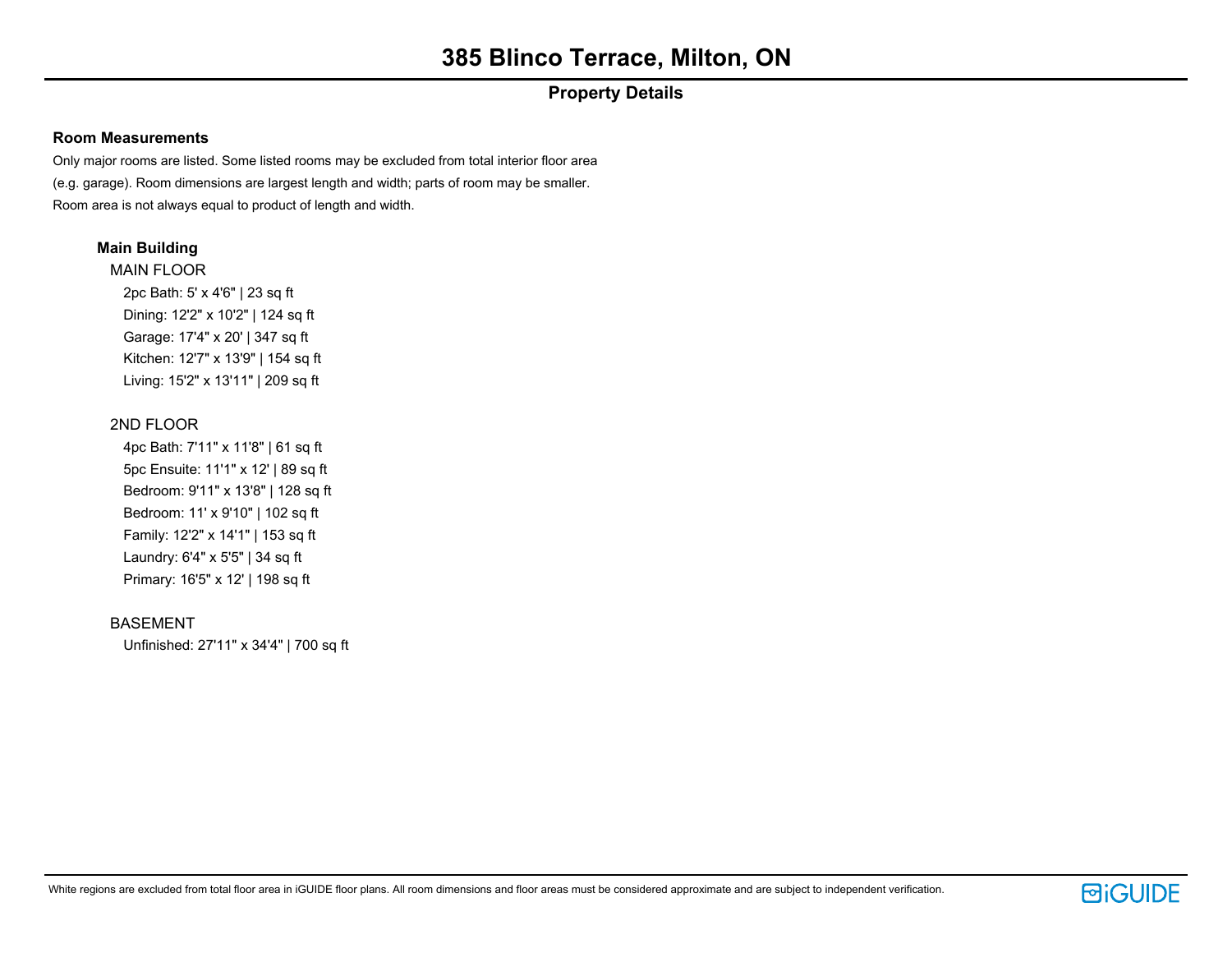# **Property Details**

### **Room Measurements**

Only major rooms are listed. Some listed rooms may be excluded from total interior floor area (e.g. garage). Room dimensions are largest length and width; parts of room may be smaller. Room area is not always equal to product of length and width.

### **Main Building**

MAIN FLOOR 2pc Bath: 5' x 4'6" | 23 sq ft Dining: 12'2" x 10'2" | 124 sq ft Garage: 17'4" x 20' | 347 sq ft Kitchen: 12'7" x 13'9" | 154 sq ft Living: 15'2" x 13'11" | 209 sq ft

## 2ND FLOOR

4pc Bath: 7'11" x 11'8" | 61 sq ft 5pc Ensuite: 11'1" x 12' | 89 sq ft Bedroom: 9'11" x 13'8" | 128 sq ft Bedroom: 11' x 9'10" | 102 sq ft Family: 12'2" x 14'1" | 153 sq ft Laundry: 6'4" x 5'5" | 34 sq ft Primary: 16'5" x 12' | 198 sq ft

### BASEMENT

Unfinished: 27'11" x 34'4" | 700 sq ft